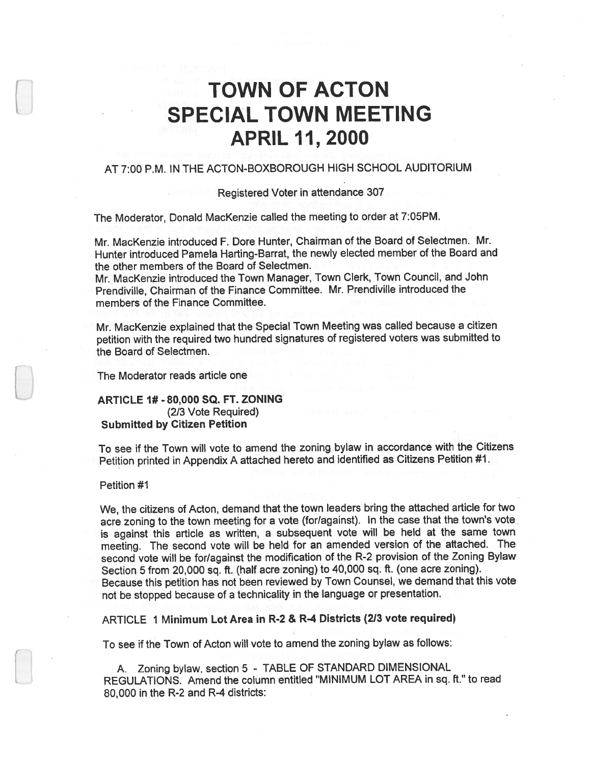# TOWN OF ACTON SPECIAL TOWN MEETING APRIL 11, 2000

## AT 7:00 P.M. IN THE ACTON-BOXBOROUGH HIGH SCHOOL AUDITORIUM

#### Registered Voter in attendance 307

The Moderator, Donald Mackenzie called the meeting to order at 7:05PM.

Mr. Mackenzie introduced F. Dore Hunter, Chairman of the Board of Selectmen. Mr. Hunter introduced Pamela Harting-Barrat, the newly elected member of the Board and the other members of the Board of Selectmen.

Mr. Mackenzie introduced the Town Manager, Town Clerk, Town Council, and John Prendiville, Chairman of the Finance Committee. Mr. Prendiville introduced the members of the Finance Committee.

Mr. Mackenzie explained that the Special Town Meeting was called because <sup>a</sup> citizen petition with the required two hundred signatures of registered voters was submitted to the Board of Selectmen.

The Moderator reads article one

## ARTICLE 1# - 80,000 SQ. FT. ZONING (2/3 Vote Required) Submitted by Citizen Petition

To see if the Town will vote to amend the zoning bylaw in accordance with the Citizens Petition printed in Appendix <sup>A</sup> attached hereto and identified as Citizens Petition #1.

#### Petition #1

We, the citizens of Acton, demand that the town leaders bring the attached article for two acre zoning to the town meeting for <sup>a</sup> vote (for/against). In the case that the town's vote is against this article as written, <sup>a</sup> subsequent vote will be held at the same town meeting. The second vote will be held for an amended version of the attached. The second vote will be for/against the modification of the R-2 provision of the Zoning Bylaw Section <sup>5</sup> from 20,000 sq. ft. (half acre zoning) to 40,000 sq. ft. (one acre zoning). Because this petition has not been reviewed by Town Counsel, we demand that this vote not be stopped because of <sup>a</sup> technicality in the language or presentation.

ARTICLE 1 Minimum Lot Area in R-2 & R-4 Districts (2/3 vote required)

To see if the Town of Acton will vote to amend the zoning bylaw as follows:

A. Zoning bylaw, section <sup>5</sup> - TABLE OF STANDARD DIMENSIONAL REGULATIONS. Amend the column entitled "MINIMUM LOT AREA in sq. ft." to read 80,000 in the R-2 and R-4 districts: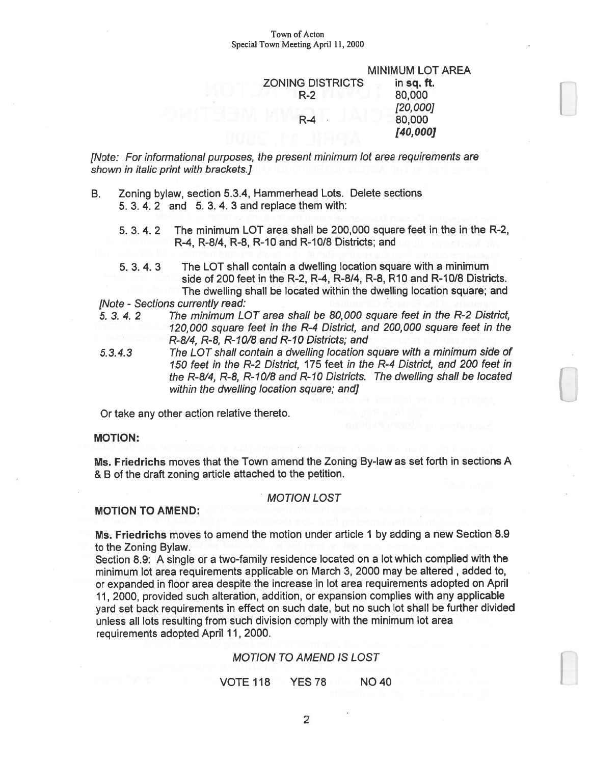|                         | <b>MINIMUM LOT AREA</b> |
|-------------------------|-------------------------|
| <b>ZONING DISTRICTS</b> | in sq. ft.              |
| $R-2$                   | 80,000                  |
|                         | [20,000]                |
| $R - 4$                 | 80,000                  |
|                         | [40,000]                |

[Note: For informational purposes, the presen<sup>t</sup> minimum lot area requirements are shown in italic print with brackets.]

- B. Zoning bylaw, section 5.3.4, Hammerhead Lots. Delete sections 5. 3. 4. 2 and 5. 3. 4. 3 and replace them with:
	- 5. 3. 4. 2 The minimum LOT area shall be 200,000 square feet in the in the R-2, R-4, R-8/4, R-8, R-I0 and R-10/8 Districts; and
	- 5. 3. 4. 3 The LOT shall contain <sup>a</sup> dwelling location square with <sup>a</sup> minimum side of 200 feet in the R-2, R-4, R-8/4, R-8, RIO and R-JO/8 Districts. The dwelling shall be located within the dwelling location square; and

[Note - Sections currently read:

- 5. 3. 4. 2 The minimum LOT area shall be 80,000 square feet in the R-2 District 120,000 square feet in the R-4 District, and 200,000 square feet in the R-8/4, R-8, R-10/8 and R-10 Districts; and
- 5.3.4.3 The LOT shall contain <sup>a</sup> dwelling location square with <sup>a</sup> minimum side of 150 feet in the R-2 District, 175 feet in the R-4 District, and 200 feet in the R-8/4, R-8, R-10/8 and R-10 Districts. The dwelling shall be located within the dwelling location square; and]

Or take any other action relative thereto.

### MOTION:

Ms. Friedrichs moves that the Town amend the Zoning By-law as set forth in sections A & B of the draft zoning article attached to the petition.

#### MOTION LOST

## MOTION TO AMEND:

Ms. Friedrichs moves to amend the motion under article 1 by adding <sup>a</sup> new Section 8.9 to the Zoning Bylaw.

Section 8.9: <sup>A</sup> single or <sup>a</sup> two-family residence located on <sup>a</sup> lot which complied with the minimum lot area requirements applicable on March 3, 2000 may be altered, added to, or expanded in floor area despite the increase in lot area requirements adopted on April 11, 2000, provided such alteration, addition, or expansion complies with any applicable yar<sup>d</sup> set back requirements in effect on such date, but no such lot shall be further divided unless all lots resulting from such division comply with the minimum lot area requirements adopted April 11, 2000.

#### MOTION TO AMEND IS LOST

## VOTE 118 YES 78 NO 40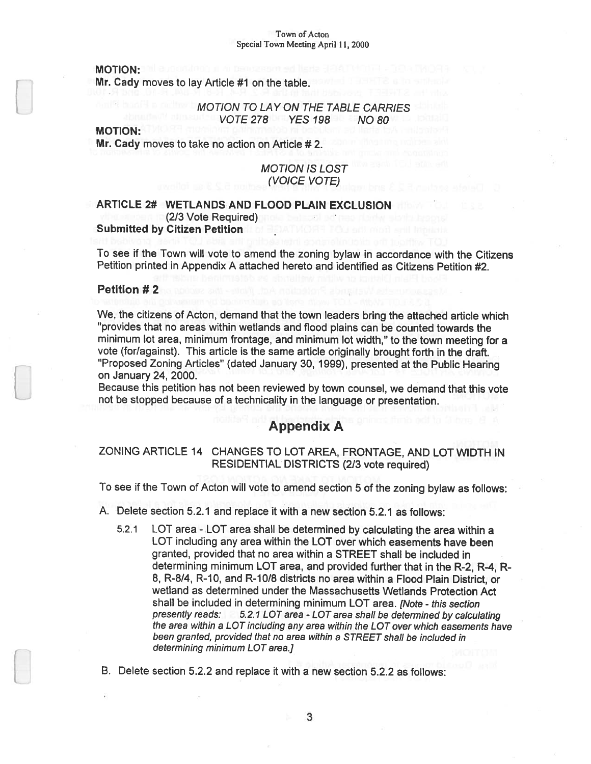MOTION:

Mr. Cady moves to lay Article #1 on the table.

#### MOTION TO LAY ON THE TABLE CARRIES VOTE278 YES 198 N080

MOTION:

Mr. Cady moves to take no action on Article #2.

## MOTION IS LOST (VOICE VOTE)

#### ARTICLE 2# WETLANDS AND FLOOD PLAIN EXCLUSION (2/3 Vote Required) the South-cell and room of Submitted by Citizen Petition

To see if the Town will vote to amend the zoning bylaw in accordance with the Citizens Petition printed in Appendix A attached hereto and identified as Citizens Petition #2.

## Petition #2

We, the citizens of Acton, demand that the town leaders bring the attached article which "provides that no areas within wetlands and flood <sup>p</sup>lains can be counted towards the minimum lot area, minimum frontage, and minimum lot width," to the town meeting for <sup>a</sup> vote (for/against). This article is the same article originally brought forth in the draft. 'Proposed Zoning Articles" (dated January 30, 1999), presented at the Public Hearing on January 24, 2000.

Because this petition has not been reviewed by town counsel, we demand that this vote not be stopped because of <sup>a</sup> technicality in the language or presentation.

## Appendix A

## ZONING ARTICLE 14 CHANGES TO LOT AREA, FRONTAGE, AND LOT WIDTH IN RESIDENTIAL DISTRICTS (2/3 vote required)

To see if the Town of Acton will vote to amend section <sup>5</sup> of the zoning bylaw as follows:

- A. Delete section 5.2.1 and replace it with <sup>a</sup> new sedtion 5.2.1 as follows:
	- 5.2.1 LOT area LOT area shall be determined by calculating the area within <sup>a</sup> LOT including any area within the LOT over which easements have been granted, provided that no area within <sup>a</sup> STREET shall be included in determining minimum LOT area, and provided further that in the R-2, R-4, <sup>R</sup> 8, R-8/4, R-10, and R-10/8 districts no area within <sup>a</sup> Flood Plain District, or wetland as determined under the Massachusetts Wetlands Protection Act shall be included in determining minimum LOT area. [Note - this section presently reads: 5.2.1 LOT area -LOT area shall be determined by calculating the area within <sup>a</sup> LOT including any area within the LOT over which easements have been granted, provided that no area within <sup>a</sup> STREET shall be included in determining minimum LOT area.]
- B. Delete section 5.2.2 and replace it with <sup>a</sup> new section 5.2.2 as follows: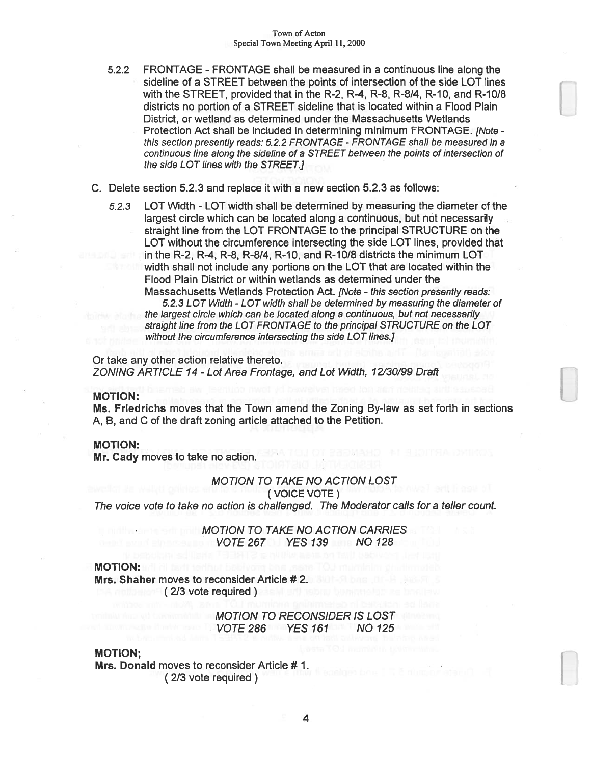- 5.2.2 FRONTAGE FRONTAGE shall be measured in <sup>a</sup> continuous line along the sideline of <sup>a</sup> STREET between the points of intersection of the side LOT lines with the STREET, provided that in the R-2, R-4, R-8, R-814, R-1O, and R-1018 districts no portion of <sup>a</sup> STREET sideline that is located within <sup>a</sup> Flood Plain District, or wetland as determined under the Massachusetts Wetlands Protection Act shall be included in determining minimum FRONTAGE. [Note this section presently reads: 5.2.2 FRONTAGE - FRONTAGE shall be measured in <sup>a</sup> continuous line along the sideline of <sup>a</sup> STREET between the points of intersection of the side LOT lines with the STREET.]
- C. Delete section 5.2.3 and replace it with <sup>a</sup> new section 5.2.3 as follows:
	- 5.2.3 LOT Width LOT width shall be determined by measuring the diameter of the largest circle which can be located along a continuous, but not necessarily straight line from the LOT FRONTAGE to the principal STRUCTURE on the LOT without the circumference intersecting the side LOT lines, provided that in the R-2, R-4, R-8, R-814, R-1O, and R-1018 districts the minimum LOT width shall not include any portions on the LOT that are located within the Flood Plain District or within wetlands as determined under the

Massachusetts Wetlands Protection Act. [Note - this section presently reads: 5.2.3 LOT Width - LOT width shall be determined by measuring the diameter of the largest circle which can be located along <sup>a</sup> continuous, but not necessarily straight line from the LOT FRONTAGE to the principal STRUCTURE on the LOT without the circumference intersecting the side LOT lines.]

Or take any other action relative thereto. ZONING ARTICLE 14 -Lot Area Frontage, and Lot Width, 12/30/99 Draft

#### MOTION:

Ms. Friedrichs moves that the Town amend the Zoning By-law as set forth in sections A, B, and C of the draft zoning article attached to the Petition.

#### MOTION:

Mr. Cady moves to take no action.

#### MOTION TO TAKE NO ACTION LOST

(VOICE VOTE)

The voice vote to take no action is challenged. The Moderator calls for a teller count.

MOTION TO TAKE NO ACTION CARRIES VOTE267 YES 139 NO 128

#### MOTION:

Mrs. Shaher moves to reconsider Article # 2. (2/3 vote required)

> MOTION TO RECONSIDER IS LOST VOTE286 YES 161 NO 125

#### MOTION;

Mrs. Donald moves to reconsider Article # 1. (2/3 vote required)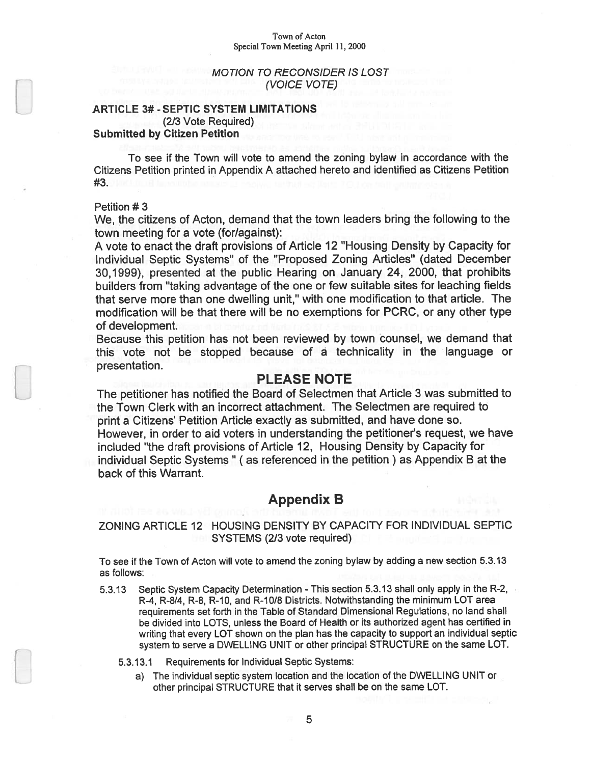#### MOTION TO RECONSIDER IS LOST (VOICE VOTE)

## ARTICLE 3# -SEPTIC SYSTEM LIMITATIONS (2/3 Vote Required) Submitted by Citizen Petition

To see if the Town will vote to amend the zoning bylaw in accordance with the Citizens Petition printed in Appendix A attached hereto and identified as Citizens Petition #3.

#### Petition # 3

We, the citizens of Acton, demand that the town leaders bring the following to the town meeting for <sup>a</sup> vote (for/against):

A vote to enact the draft provisions of Article 12 "Housing Density by Capacity for Individual Septic Systems" of the "Proposed Zoning Articles" (dated December 30,1999), presented at the public Hearing on January 24, 2000, that prohibits builders from "taking advantage of the one or few suitable sites for leaching fields that serve more than one dwelling unit," with one modification to that article. The modification will be that there will be no exemptions for PCRC, or any other type of development.

Because this petition has not been reviewed by town counsel, we demand that this vote not be stopped because of <sup>a</sup> technicality in the language or presentation.

## PLEASE NOTE

The petitioner has notified the Board of Selectmen that Article 3 was submitted to the Town Clerk with an incorrect attachment. The Selectmen are required to print <sup>a</sup> Citizens' Petition Article exactly as submitted, and have done so. However, in order to aid voters in understanding the petitioner's request, we have included "the draft provisions of Article 12, Housing Density by Capacity for individual Septic Systems" (as referenced in the petition) as Appendix <sup>B</sup> at the back of this Warrant.

## Appendix B

## ZONING ARTICLE 12 HOUSING DENSITY BY CAPACITY FOR INDIVIDUAL SEPTIC SYSTEMS (2/3 vote required)

To see if the Town of Acton will vote to amend the zoning bylaw by adding <sup>a</sup> new section 5.3.13 as follows:

- 5.3.13 Septic System Capacity Determination This section 5.3.13 shall only apply in the R-2, R4, R-8/4, R-8, R-1O, and R-1018 Districts. Notwithstanding the minimum LOT area requirements set forth in the Table of Standard Dimensional Regulations, no land shall be divided into LOTS, unless the Board of Health or its authorized agen<sup>t</sup> has certified in writing that every LOT shown on the <sup>p</sup>lan has the capacity to suppor<sup>t</sup> an individual septic system to serve <sup>a</sup> DWELLING UNIT or other principal STRUCTURE on the same LOT.
	- 5.3.13.1 Requirements for Individual Septic Systems:
		- a) The individual septic system location and the location of the DWELLING UNIT or other principal STRUCTURE that it serves shall be on the same LOT.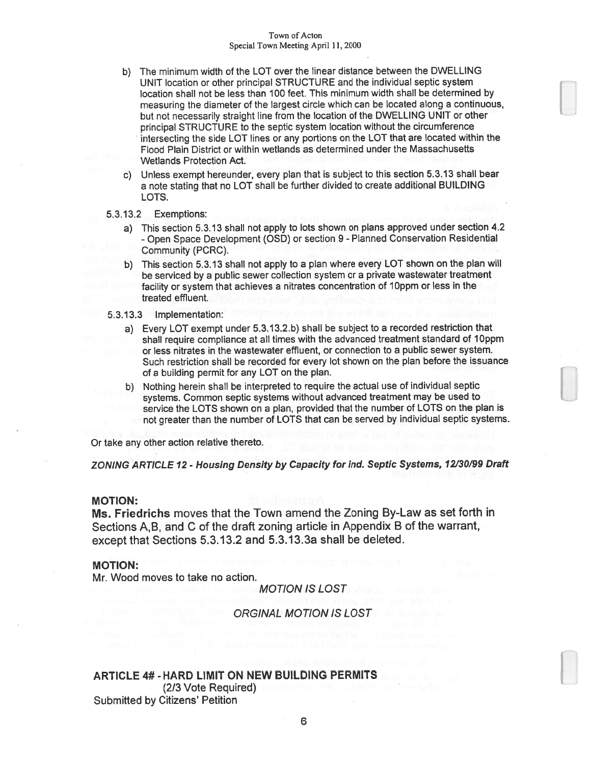- b) The minimum width of the LOT over the linear distance between the DWELLING UNIT location or other principal STRUCTURE and the individual septic system location shall not be less than 100 feet. This minimum width shall be determined by measuring the diameter of the largest circle which can be located along <sup>a</sup> continuous, but not necessarily straight line from the location of the DWELLING UNIT or other principal STRUCTURE to the septic system location without the circumference intersecting the side LOT lines or any portions on the LOT that are located within the Flood Plain District or within wetlands as determined under the Massachusetts Wetlands Protection Act.
- c) Unless exemp<sup>t</sup> hereunder, every <sup>p</sup>lan that is subject to this section 5.3.13 shall bear <sup>a</sup> note stating that no LOT shall be further divided to create additional BUILDING LOTS.
- 5.3.13.2 Exemptions:
	- a) This section 5.3.13 shall not apply to lots shown on <sup>p</sup>lans approved under section 4.2 -Open Space Development (OSD) or section <sup>9</sup> - Planned Conservation Residential Community (PCRC).
	- This section 5.3.13 shall not apply to a plan where every LOT shown on the plan will be serviced by <sup>a</sup> public sewer collection system or <sup>a</sup> private wastewater treatment facility or system that achieves a nitrates concentration of 10ppm or less in the treated effluent.
- 5.3.13.3 Implementation:
	- a) Every LOT exemp<sup>t</sup> under 5.3.13.2.b) shall be subject to <sup>a</sup> recorded restriction that shall require compliance at all times with the advanced treatment standard of l0ppm or less nitrates in the wastewater effluent, or connection to <sup>a</sup> public sewer system. Such restriction shall be recorded for every lot shown on the plan before the issuance of <sup>a</sup> building permit for any LOT on the plan.
	- b) Nothing herein shall be interpreted to require the actual use of individual septic systems. Common septic systems without advanced treatment may be used to service the LOTS shown on <sup>a</sup> <sup>p</sup>lan, provided that the number of LOTS on the <sup>p</sup>lan is not greater than the number of LOTS that can be served by individual septic systems.

Or take any other action relative thereto.

ZONING ARTICLE 12 - Housing Density by Capacity for ind. Septic Systems, 12/30/99 Draft

#### MOTION:

Ms. Friedrichs moves that the Town amend the Zoning By-Law as set forth in Sections A,B, and C of the draft zoning article in Appendix <sup>B</sup> of the warrant, excep<sup>t</sup> that Sections 5.3.13.2 and 5.3.13.3a shall be deleted.

#### MOTION:

Mr. Wood moves to take no action.

MOTION IS LOST

ORGINAL MOTION IS LOST

ARTICLE 4# - HARD LIMIT ON NEW BUILDING PERMITS (2/3 Vote Required) Submitted by Citizens' Petition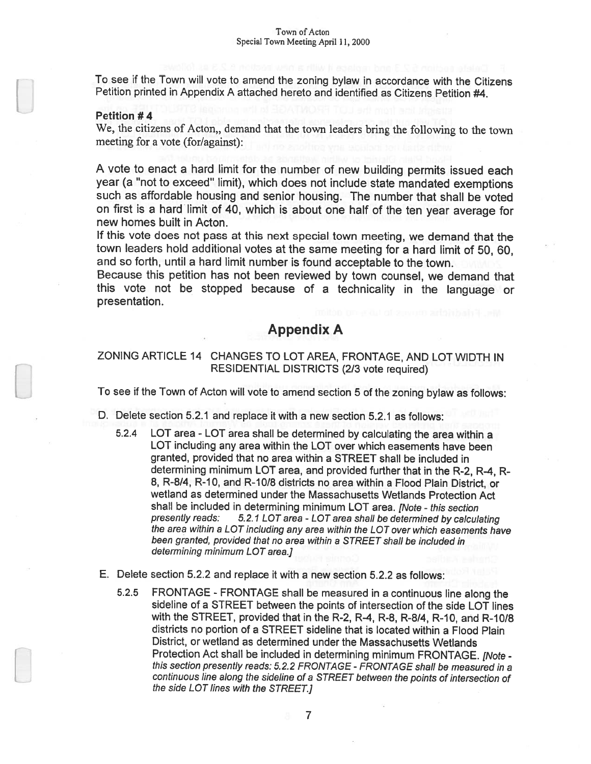To see if the Town will vote to amend the zoning bylaw in accordance with the Citizens Petition printed in Appendix A attached hereto and identified as Citizens Petition #4.

#### Petition # 4

We, the citizens of Acton,, demand that the town leaders bring the following to the town meeting for <sup>a</sup> vote (for/against):

<sup>A</sup> vote to enact <sup>a</sup> hard limit for the number of new building permits issued each year (a "not to exceed" limit), which does not include state mandated exemptions such as affordable housing and senior housing. The number that shall be voted on first is <sup>a</sup> hard limit of 40, which is about one half of the ten year average for new homes built in Acton.

If this vote does not pass at this next special town meeting, we demand that the town leaders hold additional votes at the same meeting for <sup>a</sup> hard limit of 50, 60, and so forth, until <sup>a</sup> hard limit number is found acceptable to the town.

Because this petition has not been reviewed by town counsel, we demand that this vote not be stopped because of <sup>a</sup> technicality in the language or presentation.

## Appendix A

## ZONING ARTICLE 14 CHANGES TO LOT AREA, FRONTAGE, AND LOT WIDTH IN RESIDENTIAL DISTRICTS (2/3 vote required)

To see if the Town of Acton will vote to amend section <sup>5</sup> of the zoning bylaw as follows:

- D. Delete section 5.2.1 and replace it with <sup>a</sup> new section 5.2.1 as follows:
	- 5.2.4 LOT area LOT area shall be determined by calculating the area within <sup>a</sup> LOT including any area within the LOT over which easements have been granted, provided that no area within <sup>a</sup> STREET shall be included in determining minimum LOT area, and provided further that in the R-2, R-4, <sup>R</sup> 8, R-814, R-10, and R-10/8 districts no area within <sup>a</sup> Flood Plain District, or wetland as determined under the Massachusetts Wetlands Protection Act shall be included in determining minimum LOT area. [Note - this section presently reads: 5.2.1 LOT area - LOT area shall be determined by calcula 5.2.1 LOT area - LOT area shall be determined by calculating the area within <sup>a</sup> LOT including any area within the LOT over which easements have been granted, provided that no area within a STREET shall be included in determining minimum LOT area.]
- E. Delete section 5.2.2 and replace it with <sup>a</sup> new section 5.2.2 as follows:
	- 5.2.5 FRONTAGE FRONTAGE shall be measured in <sup>a</sup> continuous line along the sideline of <sup>a</sup> STREET between the points of intersection of the side LOT lines with the STREET, provided that in the R-2, R-4, R-8, R-8/4, R-10, and R-10/8 districts rio portion of <sup>a</sup> STREET sideline that is located within <sup>a</sup> Flood Plain District, or wetland as determined under the Massachusetts Wetlands Protection Act shall be included in determining minimum FRONTAGE. [Note this section presently reads: 5.2.2 FRONTAGE -FRONTAGE shall be measured in <sup>a</sup> continuous line along the sideline of <sup>a</sup> STREET between the points of intersection of the side LOT lines with the STREET.)

7